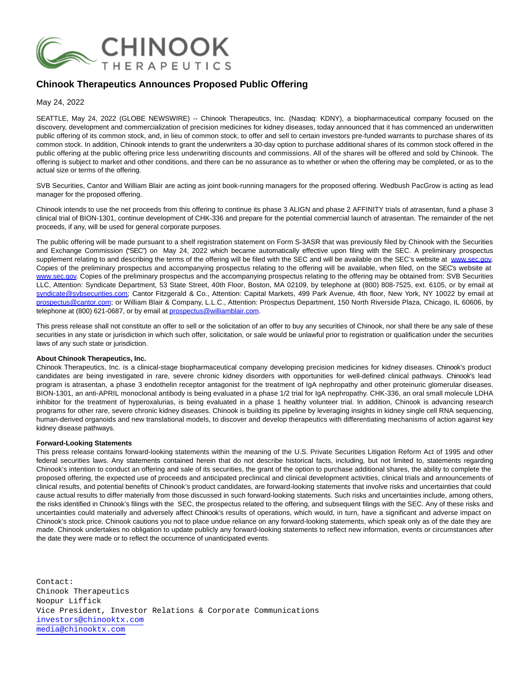

## **Chinook Therapeutics Announces Proposed Public Offering**

May 24, 2022

SEATTLE, May 24, 2022 (GLOBE NEWSWIRE) -- Chinook Therapeutics, Inc. (Nasdaq: KDNY), a biopharmaceutical company focused on the discovery, development and commercialization of precision medicines for kidney diseases, today announced that it has commenced an underwritten public offering of its common stock, and, in lieu of common stock, to offer and sell to certain investors pre-funded warrants to purchase shares of its common stock. In addition, Chinook intends to grant the underwriters a 30-day option to purchase additional shares of its common stock offered in the public offering at the public offering price less underwriting discounts and commissions. All of the shares will be offered and sold by Chinook. The offering is subject to market and other conditions, and there can be no assurance as to whether or when the offering may be completed, or as to the actual size or terms of the offering.

SVB Securities, Cantor and William Blair are acting as joint book-running managers for the proposed offering. Wedbush PacGrow is acting as lead manager for the proposed offering.

Chinook intends to use the net proceeds from this offering to continue its phase 3 ALIGN and phase 2 AFFINITY trials of atrasentan, fund a phase 3 clinical trial of BION-1301, continue development of CHK-336 and prepare for the potential commercial launch of atrasentan. The remainder of the net proceeds, if any, will be used for general corporate purposes.

The public offering will be made pursuant to a shelf registration statement on Form S-3ASR that was previously filed by Chinook with the Securities and Exchange Commission ("SEC") on May 24, 2022 which became automatically effective upon filing with the SEC. A preliminary prospectus supplement relating to and describing the terms of the offering will be filed with the SEC and will be available on the SEC's website at [www.sec.gov.](https://www.globenewswire.com/Tracker?data=Bj3wP7PbJ_DeDjOssEv3hIM13B-tXeCf_XwN-UBPzZF3w4xqfyBhYlqTljYQgay80xOMaDgAAZDTe4FZv0oy9Q==) Copies of the preliminary prospectus and accompanying prospectus relating to the offering will be available, when filed, on the SEC's website at [www.sec.gov.](https://www.globenewswire.com/Tracker?data=Bj3wP7PbJ_DeDjOssEv3hIwRYxOMZGa-Zjp1XlR7B_jVxgkaLwaYXo9zLPDxhAmeE5o6VSedHxrlZN9YY6yV8A==) Copies of the preliminary prospectus and the accompanying prospectus relating to the offering may be obtained from: SVB Securities LLC, Attention: Syndicate Department, 53 State Street, 40th Floor, Boston, MA 02109, by telephone at (800) 808-7525, ext. 6105, or by email at [syndicate@svbsecurities.com;](https://www.globenewswire.com/Tracker?data=VnQdTuF38XzMHJzDWAGcfD4CJdrwtlfxFZ4VgNywwFj2J3xSzozgCL631rB1EL-xUmWeYlnIxl565akvK3AoEQNlSVRFKSTOygnQf0I16ITdMIewv43WK9xATiqJvV5w) Cantor Fitzgerald & Co., Attention: Capital Markets, 499 Park Avenue, 4th floor, New York, NY 10022 by email at [prospectus@cantor.com;](https://www.globenewswire.com/Tracker?data=KCPs5VMqwoaMydmestSZQoMuocZZFek8d3My0OmgZ7dvTwSEJIRy2KkxAmcua1ctG4vxP3hGk9mXe_nlqXIDqQ5gCt4G5yLa8oArepzOSFE=) or William Blair & Company, L.L.C., Attention: Prospectus Department, 150 North Riverside Plaza, Chicago, IL 60606, by telephone at (800) 621-0687, or by email at prospectus@williamblair.com.

This press release shall not constitute an offer to sell or the solicitation of an offer to buy any securities of Chinook, nor shall there be any sale of these securities in any state or jurisdiction in which such offer, solicitation, or sale would be unlawful prior to registration or qualification under the securities laws of any such state or jurisdiction.

## **About Chinook Therapeutics, Inc.**

Chinook Therapeutics, Inc. is a clinical-stage biopharmaceutical company developing precision medicines for kidney diseases. Chinook's product candidates are being investigated in rare, severe chronic kidney disorders with opportunities for well-defined clinical pathways. Chinook's lead program is atrasentan, a phase 3 endothelin receptor antagonist for the treatment of IgA nephropathy and other proteinuric glomerular diseases. BION-1301, an anti-APRIL monoclonal antibody is being evaluated in a phase 1/2 trial for IgA nephropathy. CHK-336, an oral small molecule LDHA inhibitor for the treatment of hyperoxalurias, is being evaluated in a phase 1 healthy volunteer trial. In addition, Chinook is advancing research programs for other rare, severe chronic kidney diseases. Chinook is building its pipeline by leveraging insights in kidney single cell RNA sequencing, human-derived organoids and new translational models, to discover and develop therapeutics with differentiating mechanisms of action against key kidney disease pathways.

## **Forward-Looking Statements**

This press release contains forward-looking statements within the meaning of the U.S. Private Securities Litigation Reform Act of 1995 and other federal securities laws. Any statements contained herein that do not describe historical facts, including, but not limited to, statements regarding Chinook's intention to conduct an offering and sale of its securities, the grant of the option to purchase additional shares, the ability to complete the proposed offering, the expected use of proceeds and anticipated preclinical and clinical development activities, clinical trials and announcements of clinical results, and potential benefits of Chinook's product candidates, are forward-looking statements that involve risks and uncertainties that could cause actual results to differ materially from those discussed in such forward-looking statements. Such risks and uncertainties include, among others, the risks identified in Chinook's filings with the SEC, the prospectus related to the offering, and subsequent filings with the SEC. Any of these risks and uncertainties could materially and adversely affect Chinook's results of operations, which would, in turn, have a significant and adverse impact on Chinook's stock price. Chinook cautions you not to place undue reliance on any forward-looking statements, which speak only as of the date they are made. Chinook undertakes no obligation to update publicly any forward-looking statements to reflect new information, events or circumstances after the date they were made or to reflect the occurrence of unanticipated events.

Contact: Chinook Therapeutics Noopur Liffick Vice President, Investor Relations & Corporate Communications [investors@chinooktx.com](mailto:investors@chinooktx.com) [media@chinooktx.com](mailto:media@chinooktx.com)